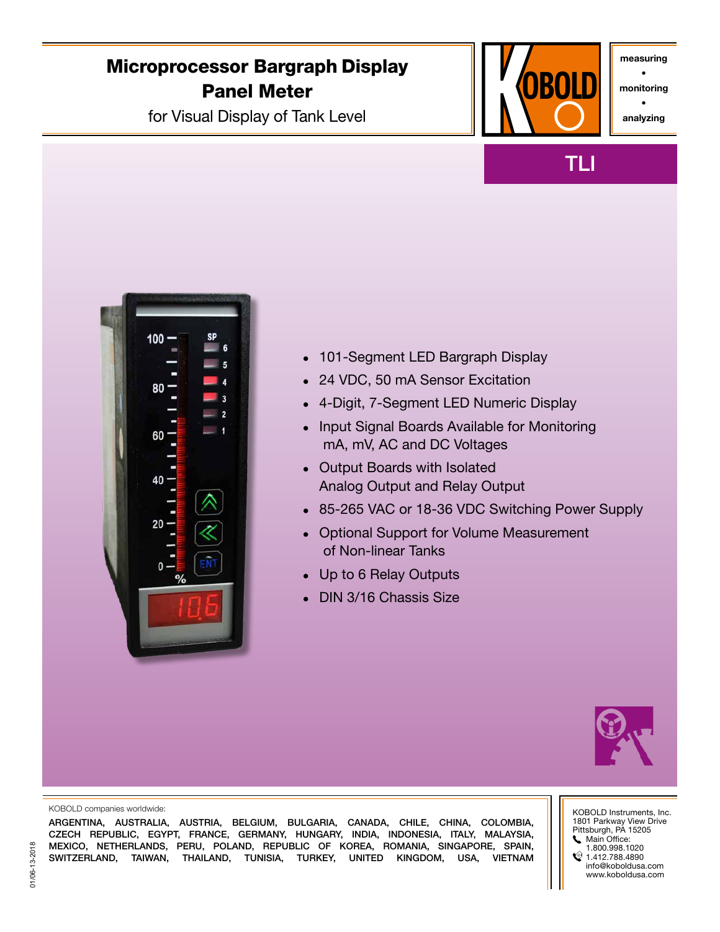# Microprocessor Bargraph Display Panel Meter

for Visual Display of Tank Level



TLI

measuring • monitoring

• analyzing



- 101-Segment LED Bargraph Display
- 24 VDC, 50 mA Sensor Excitation
- 4-Digit, 7-Segment LED Numeric Display
- Input Signal Boards Available for Monitoring mA, mV, AC and DC Voltages
- Output Boards with Isolated Analog Output and Relay Output
- 85-265 VAC or 18-36 VDC Switching Power Supply
- Optional Support for Volume Measurement of Non-linear Tanks
- Up to 6 Relay Outputs
- **DIN 3/16 Chassis Size**



#### KOBOLD companies worldwide:

ARGENTINA, AUSTRALIA, AUSTRIA, BELGIUM, BULGARIA, CANADA, CHILE, CHINA, COLOMBIA, CZECH REPUBLIC, EGYPT, FRANCE, GERMANY, HUNGARY, INDIA, INDONESIA, ITALY, MALAYSIA, MEXICO, NETHERLANDS, PERU, POLAND, REPUBLIC OF KOREA, ROMANIA, SINGAPORE, SPAIN, SWITZERLAND, TAIWAN, THAILAND, TUNISIA, TURKEY, UNITED KINGDOM, USA, VIETNAM KOBOLD Instruments, Inc. 1801 Parkway View Drive Pittsburgh, PA 15205 Main Office: 1.800.998.1020  $\textcircled{1.412.788.4890}$ info@koboldusa.com www.koboldusa.com